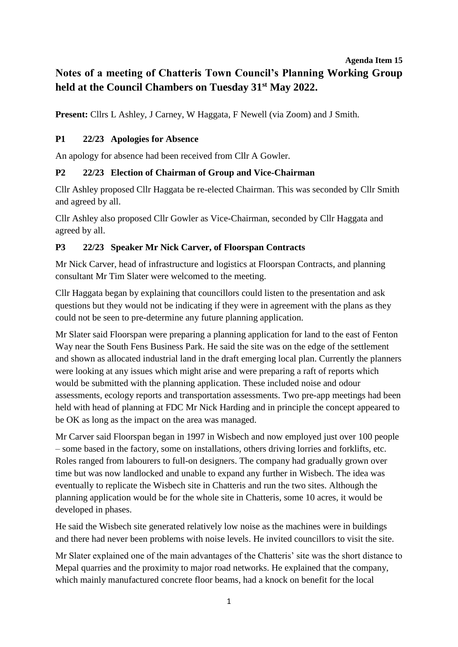# **Agenda Item 15 Notes of a meeting of Chatteris Town Council's Planning Working Group held at the Council Chambers on Tuesday 31st May 2022.**

Present: Cllrs L Ashley, J Carney, W Haggata, F Newell (via Zoom) and J Smith.

## **P1 22/23 Apologies for Absence**

An apology for absence had been received from Cllr A Gowler.

#### **P2 22/23 Election of Chairman of Group and Vice-Chairman**

Cllr Ashley proposed Cllr Haggata be re-elected Chairman. This was seconded by Cllr Smith and agreed by all.

Cllr Ashley also proposed Cllr Gowler as Vice-Chairman, seconded by Cllr Haggata and agreed by all.

## **P3 22/23 Speaker Mr Nick Carver, of Floorspan Contracts**

Mr Nick Carver, head of infrastructure and logistics at Floorspan Contracts, and planning consultant Mr Tim Slater were welcomed to the meeting.

Cllr Haggata began by explaining that councillors could listen to the presentation and ask questions but they would not be indicating if they were in agreement with the plans as they could not be seen to pre-determine any future planning application.

Mr Slater said Floorspan were preparing a planning application for land to the east of Fenton Way near the South Fens Business Park. He said the site was on the edge of the settlement and shown as allocated industrial land in the draft emerging local plan. Currently the planners were looking at any issues which might arise and were preparing a raft of reports which would be submitted with the planning application. These included noise and odour assessments, ecology reports and transportation assessments. Two pre-app meetings had been held with head of planning at FDC Mr Nick Harding and in principle the concept appeared to be OK as long as the impact on the area was managed.

Mr Carver said Floorspan began in 1997 in Wisbech and now employed just over 100 people – some based in the factory, some on installations, others driving lorries and forklifts, etc. Roles ranged from labourers to full-on designers. The company had gradually grown over time but was now landlocked and unable to expand any further in Wisbech. The idea was eventually to replicate the Wisbech site in Chatteris and run the two sites. Although the planning application would be for the whole site in Chatteris, some 10 acres, it would be developed in phases.

He said the Wisbech site generated relatively low noise as the machines were in buildings and there had never been problems with noise levels. He invited councillors to visit the site.

Mr Slater explained one of the main advantages of the Chatteris' site was the short distance to Mepal quarries and the proximity to major road networks. He explained that the company, which mainly manufactured concrete floor beams, had a knock on benefit for the local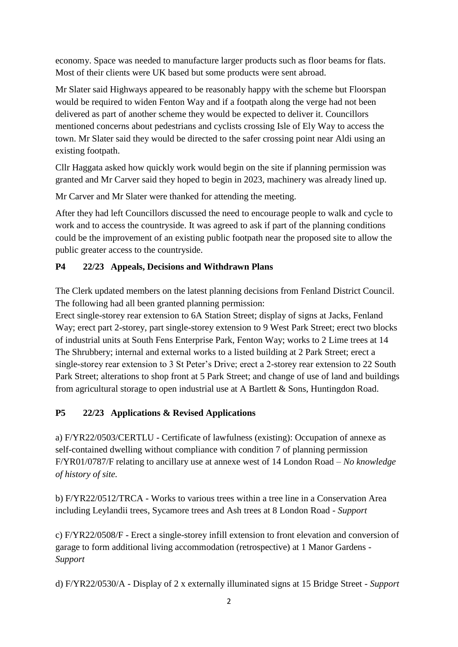economy. Space was needed to manufacture larger products such as floor beams for flats. Most of their clients were UK based but some products were sent abroad.

Mr Slater said Highways appeared to be reasonably happy with the scheme but Floorspan would be required to widen Fenton Way and if a footpath along the verge had not been delivered as part of another scheme they would be expected to deliver it. Councillors mentioned concerns about pedestrians and cyclists crossing Isle of Ely Way to access the town. Mr Slater said they would be directed to the safer crossing point near Aldi using an existing footpath.

Cllr Haggata asked how quickly work would begin on the site if planning permission was granted and Mr Carver said they hoped to begin in 2023, machinery was already lined up.

Mr Carver and Mr Slater were thanked for attending the meeting.

After they had left Councillors discussed the need to encourage people to walk and cycle to work and to access the countryside. It was agreed to ask if part of the planning conditions could be the improvement of an existing public footpath near the proposed site to allow the public greater access to the countryside.

## **P4 22/23 Appeals, Decisions and Withdrawn Plans**

The Clerk updated members on the latest planning decisions from Fenland District Council. The following had all been granted planning permission:

Erect single-storey rear extension to 6A Station Street; display of signs at Jacks, Fenland Way; erect part 2-storey, part single-storey extension to 9 West Park Street; erect two blocks of industrial units at South Fens Enterprise Park, Fenton Way; works to 2 Lime trees at 14 The Shrubbery; internal and external works to a listed building at 2 Park Street; erect a single-storey rear extension to 3 St Peter's Drive; erect a 2-storey rear extension to 22 South Park Street; alterations to shop front at 5 Park Street; and change of use of land and buildings from agricultural storage to open industrial use at A Bartlett & Sons, Huntingdon Road.

# **P5 22/23 Applications & Revised Applications**

a) F/YR22/0503/CERTLU - Certificate of lawfulness (existing): Occupation of annexe as self-contained dwelling without compliance with condition 7 of planning permission F/YR01/0787/F relating to ancillary use at annexe west of 14 London Road – *No knowledge of history of site.*

b) F/YR22/0512/TRCA - Works to various trees within a tree line in a Conservation Area including Leylandii trees, Sycamore trees and Ash trees at 8 London Road - *Support*

c) F/YR22/0508/F - Erect a single-storey infill extension to front elevation and conversion of garage to form additional living accommodation (retrospective) at 1 Manor Gardens - *Support*

d) F/YR22/0530/A - Display of 2 x externally illuminated signs at 15 Bridge Street - *Support*